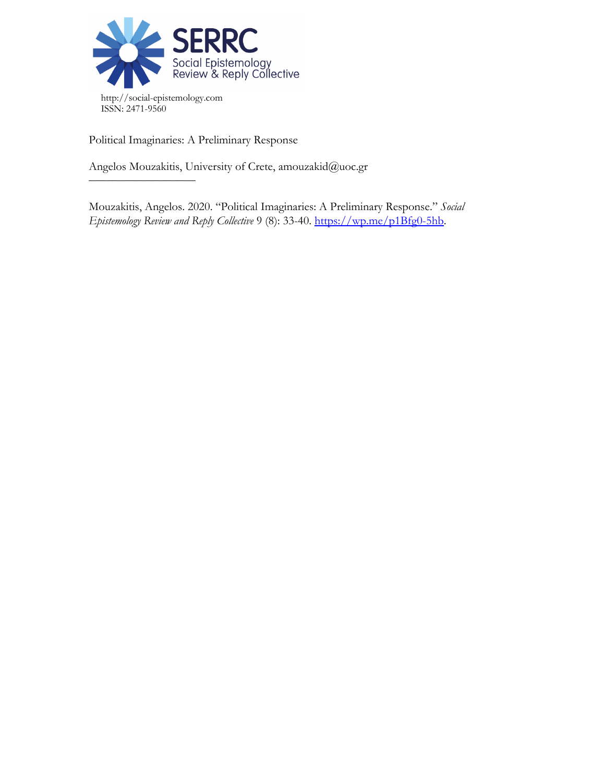

Political Imaginaries: A Preliminary Response

 $\frac{\frac{1}{2}+\frac{1}{2}-\frac{1}{2}-\frac{1}{2}-\frac{1}{2}-\frac{1}{2}-\frac{1}{2}-\frac{1}{2}-\frac{1}{2}-\frac{1}{2}-\frac{1}{2}-\frac{1}{2}-\frac{1}{2}-\frac{1}{2}-\frac{1}{2}-\frac{1}{2}-\frac{1}{2}-\frac{1}{2}-\frac{1}{2}-\frac{1}{2}-\frac{1}{2}-\frac{1}{2}-\frac{1}{2}-\frac{1}{2}-\frac{1}{2}-\frac{1}{2}-\frac{1}{2}-\frac{1}{2}-\frac{1}{2}-\frac{1}{2}-\frac{1}{2}-\$ 

Angelos Mouzakitis, University of Crete, amouzakid@uoc.gr

Mouzakitis, Angelos. 2020. "Political Imaginaries: A Preliminary Response." *Social Epistemology Review and Reply Collective* 9 (8): 33-40. [https://wp.me/p1Bfg0-5hb.](https://wp.me/p1Bfg0-5hb)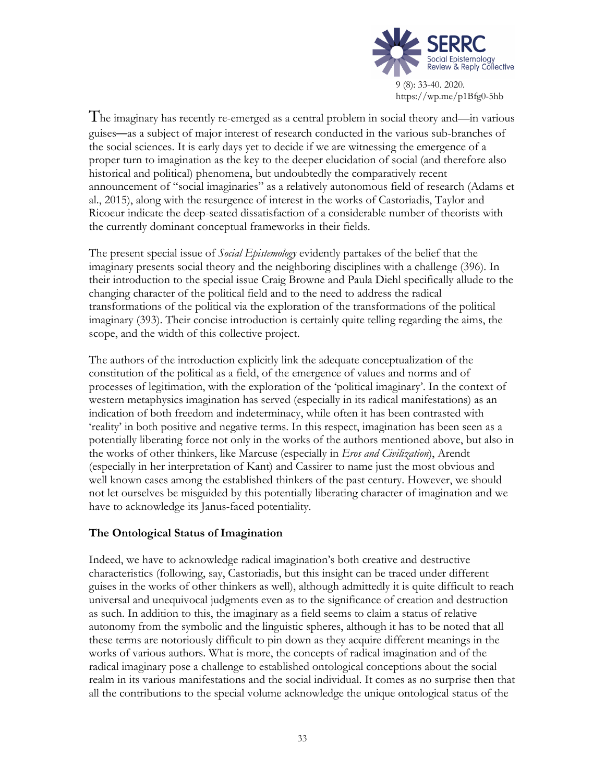

The imaginary has recently re-emerged as <sup>a</sup> central problem in social theory and—in various guises—as a subject of major interest of research conducted in the various sub-branches of the social sciences. It is early days yet to decide if we are witnessing the emergence of a proper turn to imagination as the key to the deeper elucidation of social (and therefore also historical and political) phenomena, but undoubtedly the comparatively recent announcement of "social imaginaries" as a relatively autonomous field of research (Adams et al., 2015), along with the resurgence of interest in the works of Castoriadis, Taylor and Ricoeur indicate the deep-seated dissatisfaction of a considerable number of theorists with the currently dominant conceptual frameworks in their fields.

The present special issue of *Social Epistemology* evidently partakes of the belief that the imaginary presents social theory and the neighboring disciplines with a challenge (396). In their introduction to the special issue Craig Browne and Paula Diehl specifically allude to the changing character of the political field and to the need to address the radical transformations of the political via the exploration of the transformations of the political imaginary (393). Their concise introduction is certainly quite telling regarding the aims, the scope, and the width of this collective project.

The authors of the introduction explicitly link the adequate conceptualization of the constitution of the political as a field, of the emergence of values and norms and of processes of legitimation, with the exploration of the 'political imaginary'. In the context of western metaphysics imagination has served (especially in its radical manifestations) as an indication of both freedom and indeterminacy, while often it has been contrasted with 'reality' in both positive and negative terms. In this respect, imagination has been seen as a potentially liberating force not only in the works of the authors mentioned above, but also in the works of other thinkers, like Marcuse (especially in *Eros and Civilization*), Arendt (especially in her interpretation of Kant) and Cassirer to name just the most obvious and well known cases among the established thinkers of the past century. However, we should not let ourselves be misguided by this potentially liberating character of imagination and we have to acknowledge its Janus-faced potentiality.

# **The Ontological Status of Imagination**

Indeed, we have to acknowledge radical imagination's both creative and destructive characteristics (following, say, Castoriadis, but this insight can be traced under different guises in the works of other thinkers as well), although admittedly it is quite difficult to reach universal and unequivocal judgments even as to the significance of creation and destruction as such. In addition to this, the imaginary as a field seems to claim a status of relative autonomy from the symbolic and the linguistic spheres, although it has to be noted that all these terms are notoriously difficult to pin down as they acquire different meanings in the works of various authors. What is more, the concepts of radical imagination and of the radical imaginary pose a challenge to established ontological conceptions about the social realm in its various manifestations and the social individual. It comes as no surprise then that all the contributions to the special volume acknowledge the unique ontological status of the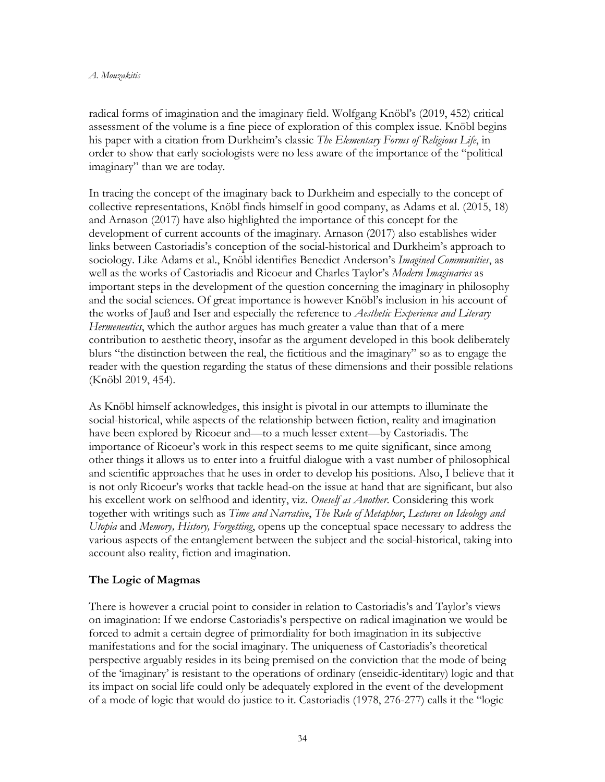radical forms of imagination and the imaginary field. Wolfgang Knöbl's (2019, 452) critical assessment of the volume is a fine piece of exploration of this complex issue. Knöbl begins his paper with a citation from Durkheim's classic *The Elementary Forms of Religious Life*, in order to show that early sociologists were no less aware of the importance of the "political imaginary" than we are today.

In tracing the concept of the imaginary back to Durkheim and especially to the concept of collective representations, Knöbl finds himself in good company, as Adams et al. (2015, 18) and Arnason (2017) have also highlighted the importance of this concept for the development of current accounts of the imaginary. Arnason (2017) also establishes wider links between Castoriadis's conception of the social-historical and Durkheim's approach to sociology. Like Adams et al., Knöbl identifies Benedict Anderson's *Imagined Communities*, as well as the works of Castoriadis and Ricoeur and Charles Taylor's *Modern Imaginaries* as important steps in the development of the question concerning the imaginary in philosophy and the social sciences. Of great importance is however Knöbl's inclusion in his account of the works of Jauß and Iser and especially the reference to *Aesthetic Experience and Literary Hermeneutics*, which the author argues has much greater a value than that of a mere contribution to aesthetic theory, insofar as the argument developed in this book deliberately blurs "the distinction between the real, the fictitious and the imaginary" so as to engage the reader with the question regarding the status of these dimensions and their possible relations (Knöbl 2019, 454).

As Knöbl himself acknowledges, this insight is pivotal in our attempts to illuminate the social-historical, while aspects of the relationship between fiction, reality and imagination have been explored by Ricoeur and—to a much lesser extent—by Castoriadis. The importance of Ricoeur's work in this respect seems to me quite significant, since among other things it allows us to enter into a fruitful dialogue with a vast number of philosophical and scientific approaches that he uses in order to develop his positions. Also, I believe that it is not only Ricoeur's works that tackle head-on the issue at hand that are significant, but also his excellent work on selfhood and identity, viz. *Oneself as Another*. Considering this work together with writings such as *Time and Narrative*, *The Rule of Metaphor*, *Lectures on Ideology and Utopia* and *Memory, History, Forgetting*, opens up the conceptual space necessary to address the various aspects of the entanglement between the subject and the social-historical, taking into account also reality, fiction and imagination.

## **The Logic of Magmas**

There is however a crucial point to consider in relation to Castoriadis's and Taylor's views on imagination: If we endorse Castoriadis's perspective on radical imagination we would be forced to admit a certain degree of primordiality for both imagination in its subjective manifestations and for the social imaginary. The uniqueness of Castoriadis's theoretical perspective arguably resides in its being premised on the conviction that the mode of being of the 'imaginary' is resistant to the operations of ordinary (enseidic-identitary) logic and that its impact on social life could only be adequately explored in the event of the development of a mode of logic that would do justice to it. Castoriadis (1978, 276-277) calls it the "logic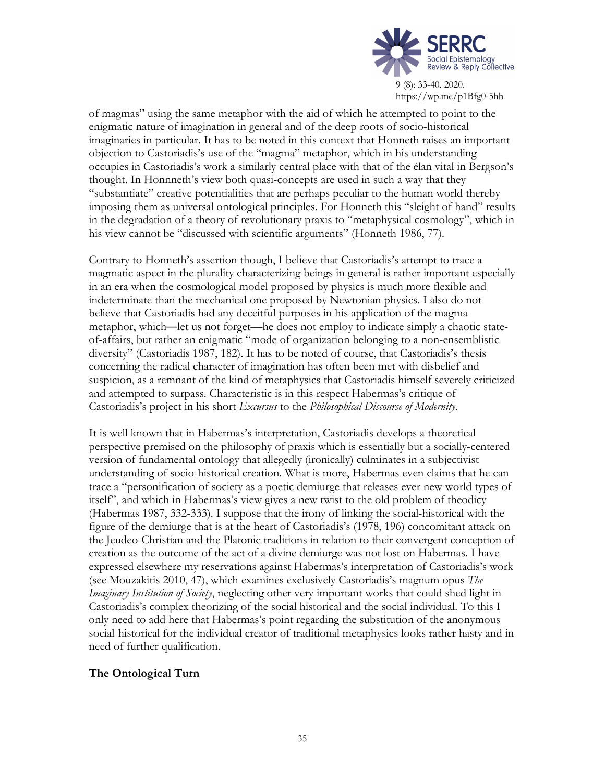

https://wp.me/p1Bfg0-5hb

of magmas" using the same metaphor with the aid of which he attempted to point to the enigmatic nature of imagination in general and of the deep roots of socio-historical imaginaries in particular. It has to be noted in this context that Honneth raises an important objection to Castoriadis's use of the "magma" metaphor, which in his understanding occupies in Castoriadis's work a similarly central place with that of the élan vital in Bergson's thought. In Honnneth's view both quasi-concepts are used in such a way that they "substantiate" creative potentialities that are perhaps peculiar to the human world thereby imposing them as universal ontological principles. For Honneth this "sleight of hand" results in the degradation of a theory of revolutionary praxis to "metaphysical cosmology", which in his view cannot be "discussed with scientific arguments" (Honneth 1986, 77).

Contrary to Honneth's assertion though, I believe that Castoriadis's attempt to trace a magmatic aspect in the plurality characterizing beings in general is rather important especially in an era when the cosmological model proposed by physics is much more flexible and indeterminate than the mechanical one proposed by Newtonian physics. I also do not believe that Castoriadis had any deceitful purposes in his application of the magma metaphor, which—let us not forget—he does not employ to indicate simply a chaotic stateof-affairs, but rather an enigmatic "mode of organization belonging to a non-ensemblistic diversity" (Castoriadis 1987, 182). It has to be noted of course, that Castoriadis's thesis concerning the radical character of imagination has often been met with disbelief and suspicion, as a remnant of the kind of metaphysics that Castoriadis himself severely criticized and attempted to surpass. Characteristic is in this respect Habermas's critique of Castoriadis's project in his short *Excursus* to the *Philosophical Discourse of Modernity*.

It is well known that in Habermas's interpretation, Castoriadis develops a theoretical perspective premised on the philosophy of praxis which is essentially but a socially-centered version of fundamental ontology that allegedly (ironically) culminates in a subjectivist understanding of socio-historical creation. What is more, Habermas even claims that he can trace a "personification of society as a poetic demiurge that releases ever new world types of itself", and which in Habermas's view gives a new twist to the old problem of theodicy (Habermas 1987, 332-333). I suppose that the irony of linking the social-historical with the figure of the demiurge that is at the heart of Castoriadis's (1978, 196) concomitant attack on the Jeudeo-Christian and the Platonic traditions in relation to their convergent conception of creation as the outcome of the act of a divine demiurge was not lost on Habermas. I have expressed elsewhere my reservations against Habermas's interpretation of Castoriadis's work (see Mouzakitis 2010, 47), which examines exclusively Castoriadis's magnum opus *The Imaginary Institution of Society*, neglecting other very important works that could shed light in Castoriadis's complex theorizing of the social historical and the social individual. To this I only need to add here that Habermas's point regarding the substitution of the anonymous social-historical for the individual creator of traditional metaphysics looks rather hasty and in need of further qualification.

## **The Ontological Turn**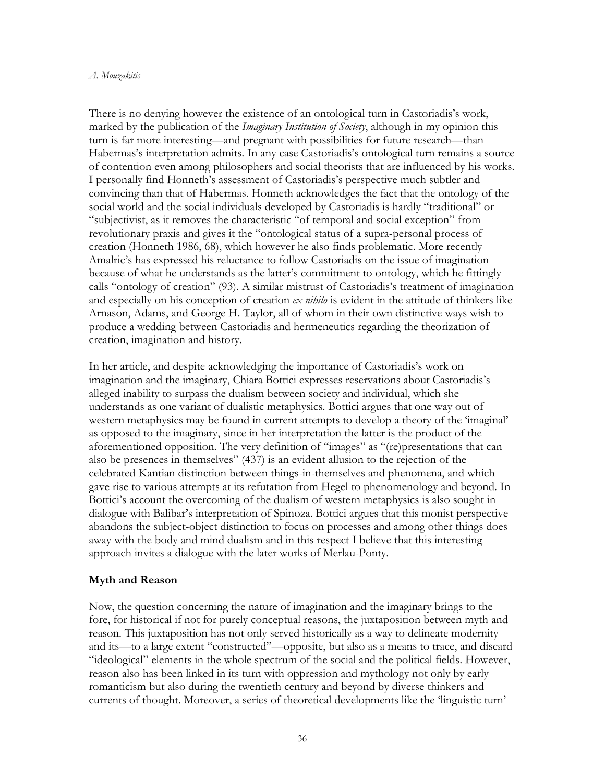### *A. Mouzakitis*

There is no denying however the existence of an ontological turn in Castoriadis's work, marked by the publication of the *Imaginary Institution of Society*, although in my opinion this turn is far more interesting—and pregnant with possibilities for future research—than Habermas's interpretation admits. In any case Castoriadis's ontological turn remains a source of contention even among philosophers and social theorists that are influenced by his works. I personally find Honneth's assessment of Castoriadis's perspective much subtler and convincing than that of Habermas. Honneth acknowledges the fact that the ontology of the social world and the social individuals developed by Castoriadis is hardly "traditional" or "subjectivist, as it removes the characteristic "of temporal and social exception" from revolutionary praxis and gives it the "ontological status of a supra-personal process of creation (Honneth 1986, 68), which however he also finds problematic. More recently Amalric's has expressed his reluctance to follow Castoriadis on the issue of imagination because of what he understands as the latter's commitment to ontology, which he fittingly calls "ontology of creation" (93). A similar mistrust of Castoriadis's treatment of imagination and especially on his conception of creation *ex nihilo* is evident in the attitude of thinkers like Arnason, Adams, and George H. Taylor, all of whom in their own distinctive ways wish to produce a wedding between Castoriadis and hermeneutics regarding the theorization of creation, imagination and history.

In her article, and despite acknowledging the importance of Castoriadis's work on imagination and the imaginary, Chiara Bottici expresses reservations about Castoriadis's alleged inability to surpass the dualism between society and individual, which she understands as one variant of dualistic metaphysics. Bottici argues that one way out of western metaphysics may be found in current attempts to develop a theory of the 'imaginal' as opposed to the imaginary, since in her interpretation the latter is the product of the aforementioned opposition. The very definition of "images" as "(re)presentations that can also be presences in themselves" (437) is an evident allusion to the rejection of the celebrated Kantian distinction between things-in-themselves and phenomena, and which gave rise to various attempts at its refutation from Hegel to phenomenology and beyond. In Bottici's account the overcoming of the dualism of western metaphysics is also sought in dialogue with Balibar's interpretation of Spinoza. Bottici argues that this monist perspective abandons the subject-object distinction to focus on processes and among other things does away with the body and mind dualism and in this respect I believe that this interesting approach invites a dialogue with the later works of Merlau-Ponty.

### **Myth and Reason**

Now, the question concerning the nature of imagination and the imaginary brings to the fore, for historical if not for purely conceptual reasons, the juxtaposition between myth and reason. This juxtaposition has not only served historically as a way to delineate modernity and its—to a large extent "constructed"—opposite, but also as a means to trace, and discard "ideological" elements in the whole spectrum of the social and the political fields. However, reason also has been linked in its turn with oppression and mythology not only by early romanticism but also during the twentieth century and beyond by diverse thinkers and currents of thought. Moreover, a series of theoretical developments like the 'linguistic turn'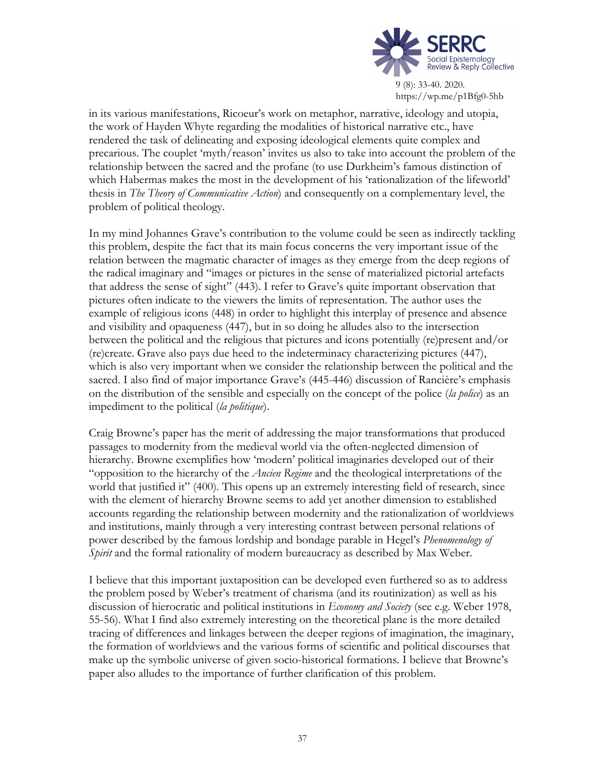

in its various manifestations, Ricoeur's work on metaphor, narrative, ideology and utopia, the work of Hayden Whyte regarding the modalities of historical narrative etc., have rendered the task of delineating and exposing ideological elements quite complex and precarious. The couplet 'myth/reason' invites us also to take into account the problem of the relationship between the sacred and the profane (to use Durkheim's famous distinction of which Habermas makes the most in the development of his 'rationalization of the lifeworld' thesis in *The Theory of Communicative Action*) and consequently on a complementary level, the problem of political theology.

In my mind Johannes Grave's contribution to the volume could be seen as indirectly tackling this problem, despite the fact that its main focus concerns the very important issue of the relation between the magmatic character of images as they emerge from the deep regions of the radical imaginary and "images or pictures in the sense of materialized pictorial artefacts that address the sense of sight" (443). I refer to Grave's quite important observation that pictures often indicate to the viewers the limits of representation. The author uses the example of religious icons (448) in order to highlight this interplay of presence and absence and visibility and opaqueness (447), but in so doing he alludes also to the intersection between the political and the religious that pictures and icons potentially (re)present and/or (re)create. Grave also pays due heed to the indeterminacy characterizing pictures (447), which is also very important when we consider the relationship between the political and the sacred. I also find of major importance Grave's (445-446) discussion of Rancière's emphasis on the distribution of the sensible and especially on the concept of the police (*la police*) as an impediment to the political (*la politique*).

Craig Browne's paper has the merit of addressing the major transformations that produced passages to modernity from the medieval world via the often-neglected dimension of hierarchy. Browne exemplifies how 'modern' political imaginaries developed out of their "opposition to the hierarchy of the *Ancien Regime* and the theological interpretations of the world that justified it" (400). This opens up an extremely interesting field of research, since with the element of hierarchy Browne seems to add yet another dimension to established accounts regarding the relationship between modernity and the rationalization of worldviews and institutions, mainly through a very interesting contrast between personal relations of power described by the famous lordship and bondage parable in Hegel's *Phenomenology of Spirit* and the formal rationality of modern bureaucracy as described by Max Weber.

I believe that this important juxtaposition can be developed even furthered so as to address the problem posed by Weber's treatment of charisma (and its routinization) as well as his discussion of hierocratic and political institutions in *Economy and Society* (see e.g. Weber 1978, 55-56). What I find also extremely interesting on the theoretical plane is the more detailed tracing of differences and linkages between the deeper regions of imagination, the imaginary, the formation of worldviews and the various forms of scientific and political discourses that make up the symbolic universe of given socio-historical formations. I believe that Browne's paper also alludes to the importance of further clarification of this problem.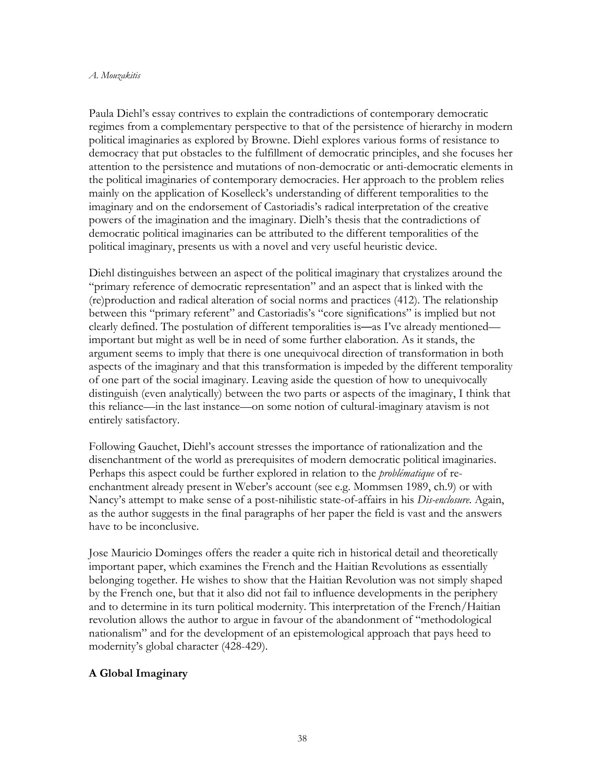### *A. Mouzakitis*

Paula Diehl's essay contrives to explain the contradictions of contemporary democratic regimes from a complementary perspective to that of the persistence of hierarchy in modern political imaginaries as explored by Browne. Diehl explores various forms of resistance to democracy that put obstacles to the fulfillment of democratic principles, and she focuses her attention to the persistence and mutations of non-democratic or anti-democratic elements in the political imaginaries of contemporary democracies. Her approach to the problem relies mainly on the application of Koselleck's understanding of different temporalities to the imaginary and on the endorsement of Castoriadis's radical interpretation of the creative powers of the imagination and the imaginary. Dielh's thesis that the contradictions of democratic political imaginaries can be attributed to the different temporalities of the political imaginary, presents us with a novel and very useful heuristic device.

Diehl distinguishes between an aspect of the political imaginary that crystalizes around the "primary reference of democratic representation" and an aspect that is linked with the (re)production and radical alteration of social norms and practices (412). The relationship between this "primary referent" and Castoriadis's "core significations" is implied but not clearly defined. The postulation of different temporalities is—as I've already mentioned important but might as well be in need of some further elaboration. As it stands, the argument seems to imply that there is one unequivocal direction of transformation in both aspects of the imaginary and that this transformation is impeded by the different temporality of one part of the social imaginary. Leaving aside the question of how to unequivocally distinguish (even analytically) between the two parts or aspects of the imaginary, I think that this reliance—in the last instance—on some notion of cultural-imaginary atavism is not entirely satisfactory.

Following Gauchet, Diehl's account stresses the importance of rationalization and the disenchantment of the world as prerequisites of modern democratic political imaginaries. Perhaps this aspect could be further explored in relation to the *problématique* of reenchantment already present in Weber's account (see e.g. Mommsen 1989, ch.9) or with Nancy's attempt to make sense of a post-nihilistic state-of-affairs in his *Dis-enclosure*. Again, as the author suggests in the final paragraphs of her paper the field is vast and the answers have to be inconclusive.

Jose Mauricio Dominges offers the reader a quite rich in historical detail and theoretically important paper, which examines the French and the Haitian Revolutions as essentially belonging together. He wishes to show that the Haitian Revolution was not simply shaped by the French one, but that it also did not fail to influence developments in the periphery and to determine in its turn political modernity. This interpretation of the French/Haitian revolution allows the author to argue in favour of the abandonment of "methodological nationalism" and for the development of an epistemological approach that pays heed to modernity's global character (428-429).

## **A Global Imaginary**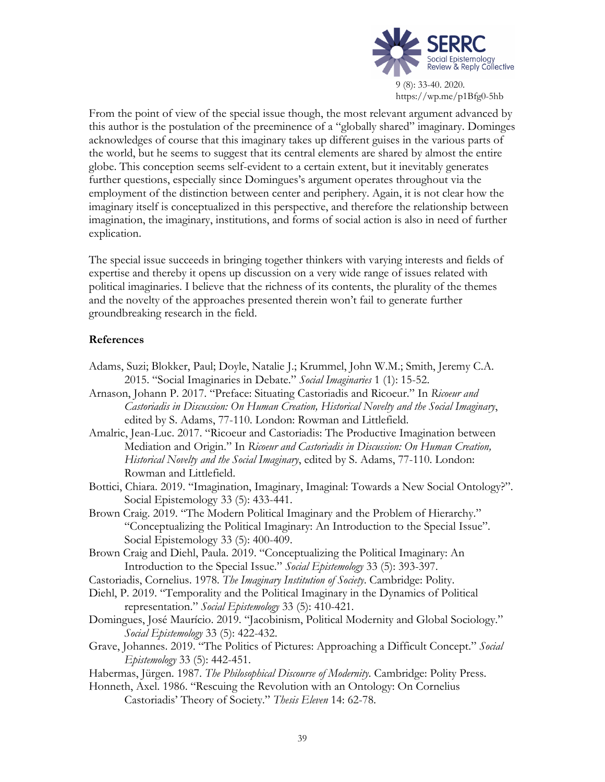

From the point of view of the special issue though, the most relevant argument advanced by this author is the postulation of the preeminence of a "globally shared" imaginary. Dominges acknowledges of course that this imaginary takes up different guises in the various parts of the world, but he seems to suggest that its central elements are shared by almost the entire globe. This conception seems self-evident to a certain extent, but it inevitably generates further questions, especially since Domingues's argument operates throughout via the employment of the distinction between center and periphery. Again, it is not clear how the imaginary itself is conceptualized in this perspective, and therefore the relationship between imagination, the imaginary, institutions, and forms of social action is also in need of further explication.

The special issue succeeds in bringing together thinkers with varying interests and fields of expertise and thereby it opens up discussion on a very wide range of issues related with political imaginaries. I believe that the richness of its contents, the plurality of the themes and the novelty of the approaches presented therein won't fail to generate further groundbreaking research in the field.

## **References**

- Adams, Suzi; Blokker, Paul; Doyle, Natalie J.; Krummel, John W.M.; Smith, Jeremy C.A. 2015. "Social Imaginaries in Debate." *Social Imaginaries* 1 (1): 15-52.
- Arnason, Johann P. 2017. "Preface: Situating Castoriadis and Ricoeur." In *Ricoeur and Castoriadis in Discussion: On Human Creation, Historical Novelty and the Social Imaginary*, edited by S. Adams, 77-110. London: Rowman and Littlefield.
- Amalric, Jean-Luc. 2017. "Ricoeur and Castoriadis: The Productive Imagination between Mediation and Origin." In *Ricoeur and Castoriadis in Discussion: On Human Creation, Historical Novelty and the Social Imaginary*, edited by S. Adams, 77-110. London: Rowman and Littlefield.
- Bottici, Chiara. 2019. "Imagination, Imaginary, Imaginal: Towards a New Social Ontology?". Social Epistemology 33 (5): 433-441.
- Brown Craig. 2019. "The Modern Political Imaginary and the Problem of Hierarchy." "Conceptualizing the Political Imaginary: An Introduction to the Special Issue". Social Epistemology 33 (5): 400-409.
- Brown Craig and Diehl, Paula. 2019. "Conceptualizing the Political Imaginary: An Introduction to the Special Issue." *Social Epistemology* 33 (5): 393-397.
- Castoriadis, Cornelius. 1978. *The Imaginary Institution of Society*. Cambridge: Polity.
- Diehl, P. 2019. "Temporality and the Political Imaginary in the Dynamics of Political representation." *Social Epistemology* 33 (5): 410-421.
- Domingues, José Maurício. 2019. "Jacobinism, Political Modernity and Global Sociology." *Social Epistemology* 33 (5): 422-432.
- Grave, Johannes. 2019. "The Politics of Pictures: Approaching a Difficult Concept." *Social Epistemology* 33 (5): 442-451.
- Habermas, Jürgen. 1987. *The Philosophical Discourse of Modernity*. Cambridge: Polity Press.
- Honneth, Axel. 1986. "Rescuing the Revolution with an Ontology: On Cornelius Castoriadis' Theory of Society." *Thesis Eleven* 14: 62-78.